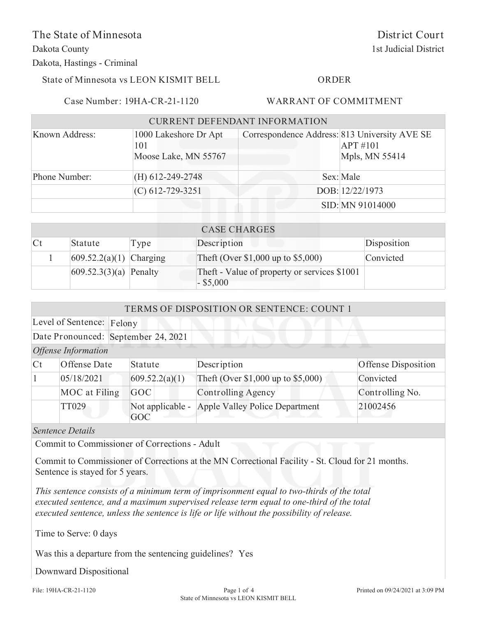The State of Minnesota

Dakota County

Dakota, Hastings - Criminal

State of Minnesota vs LEON KISMIT BELL

### ORDER

Case Number: 19HA-CR-21-1120

## WARRANT OF COMMITMENT

| <b>CURRENT DEFENDANT INFORMATION</b> |                                                      |                                               |                              |  |
|--------------------------------------|------------------------------------------------------|-----------------------------------------------|------------------------------|--|
| Known Address:                       | 1000 Lakeshore Dr Apt<br>101<br>Moose Lake, MN 55767 | Correspondence Address: 813 University AVE SE | $APT$ #101<br>Mpls, MN 55414 |  |
| Phone Number:                        | $(H) 612 - 249 - 2748$                               |                                               | Sex: Male                    |  |
|                                      | $(C)$ 612-729-3251                                   |                                               | DOB: 12/22/1973              |  |
|                                      |                                                      |                                               | SID: MN 91014000             |  |

| <b>CASE CHARGES</b>    |                            |      |                                                             |             |
|------------------------|----------------------------|------|-------------------------------------------------------------|-------------|
| $\mathsf{C}\mathsf{t}$ | Statute                    | Type | Description                                                 | Disposition |
|                        | 609.52.2(a)(1) Charging    |      | Theft (Over $$1,000$ up to $$5,000$ )                       | Convicted   |
|                        | $ 609.52.3(3)(a) $ Penalty |      | Theft - Value of property or services \$1001<br>$-$ \$5,000 |             |

| TERMS OF DISPOSITION OR SENTENCE: COUNT 1 |                                     |                         |                                       |                     |
|-------------------------------------------|-------------------------------------|-------------------------|---------------------------------------|---------------------|
|                                           | Level of Sentence: Felony           |                         |                                       |                     |
|                                           | Date Pronounced: September 24, 2021 |                         |                                       |                     |
| <b>Offense Information</b>                |                                     |                         |                                       |                     |
| $\mathsf{C}\mathsf{t}$                    | Offense Date                        | Statute                 | Description                           | Offense Disposition |
|                                           | 05/18/2021                          | 609.52.2(a)(1)          | Theft (Over \$1,000 up to \$5,000)    | Convicted           |
|                                           | MOC at Filing                       | <b>GOC</b>              | <b>Controlling Agency</b>             | Controlling No.     |
|                                           | TT029                               | Not applicable -<br>GOC | <b>Apple Valley Police Department</b> | 21002456            |

*Sentence Details*

Commit to Commissioner of Corrections - Adult

Commit to Commissioner of Corrections at the MN Correctional Facility - St. Cloud for 21 months. Sentence is stayed for 5 years.

*This sentence consists of a minimum term of imprisonment equal to two-thirds of the total executed sentence, and a maximum supervised release term equal to one-third of the total executed sentence, unless the sentence is life or life without the possibility of release.*

Time to Serve: 0 days

Was this a departure from the sentencing guidelines? Yes

Downward Dispositional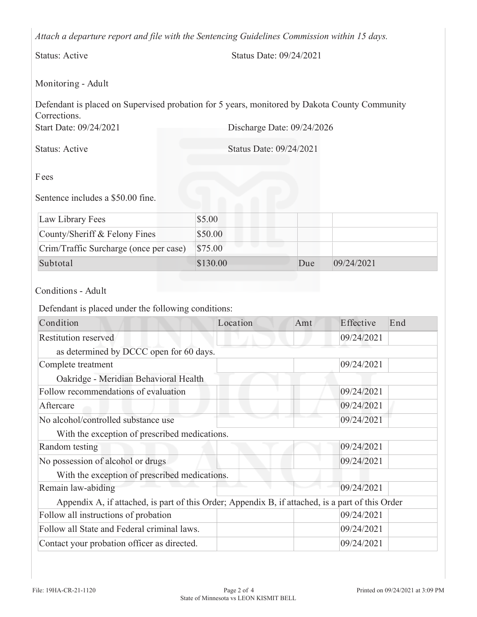*Attach a departure report and file with the Sentencing Guidelines Commission within 15 days.*

Status: Active Status Date: 09/24/2021

# Monitoring - Adult

Start Date: 09/24/2021 Discharge Date: 09/24/2026 Defendant is placed on Supervised probation for 5 years, monitored by Dakota County Community Corrections.

Status: Active Status Date: 09/24/2021

Fees

Sentence includes a \$50.00 fine.

| Law Library Fees                       | \$5.00   |     |            |
|----------------------------------------|----------|-----|------------|
| County/Sheriff & Felony Fines          | \$50.00  |     |            |
| Crim/Traffic Surcharge (once per case) | \$75.00  |     |            |
| Subtotal                               | \$130.00 | Due | 09/24/2021 |

## Conditions - Adult

Defendant is placed under the following conditions:

| Condition                                                                                        | Location | Amt | Effective  | End |  |
|--------------------------------------------------------------------------------------------------|----------|-----|------------|-----|--|
| Restitution reserved                                                                             |          |     | 09/24/2021 |     |  |
| as determined by DCCC open for 60 days.                                                          |          |     |            |     |  |
| Complete treatment                                                                               |          |     | 09/24/2021 |     |  |
| Oakridge - Meridian Behavioral Health                                                            |          |     |            |     |  |
| Follow recommendations of evaluation                                                             |          |     | 09/24/2021 |     |  |
| Aftercare                                                                                        |          |     | 09/24/2021 |     |  |
| No alcohol/controlled substance use                                                              |          |     | 09/24/2021 |     |  |
| With the exception of prescribed medications.                                                    |          |     |            |     |  |
| Random testing                                                                                   |          |     | 09/24/2021 |     |  |
| No possession of alcohol or drugs                                                                |          |     | 09/24/2021 |     |  |
| With the exception of prescribed medications.                                                    |          |     |            |     |  |
| Remain law-abiding                                                                               |          |     | 09/24/2021 |     |  |
| Appendix A, if attached, is part of this Order; Appendix B, if attached, is a part of this Order |          |     |            |     |  |
| Follow all instructions of probation                                                             |          |     | 09/24/2021 |     |  |
| Follow all State and Federal criminal laws.                                                      |          |     | 09/24/2021 |     |  |
| Contact your probation officer as directed.                                                      |          |     | 09/24/2021 |     |  |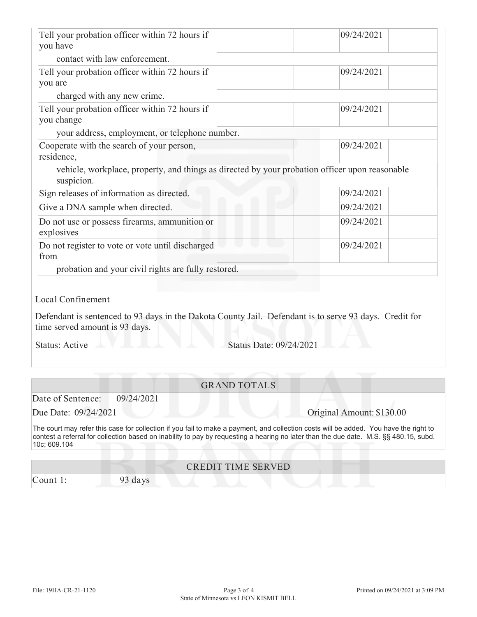| Tell your probation officer within 72 hours if                                                                                                                                                                                                                                                 | 09/24/2021 |  |
|------------------------------------------------------------------------------------------------------------------------------------------------------------------------------------------------------------------------------------------------------------------------------------------------|------------|--|
| you have                                                                                                                                                                                                                                                                                       |            |  |
| contact with law enforcement.                                                                                                                                                                                                                                                                  |            |  |
| Tell your probation officer within 72 hours if<br>you are                                                                                                                                                                                                                                      | 09/24/2021 |  |
| charged with any new crime.                                                                                                                                                                                                                                                                    |            |  |
| Tell your probation officer within 72 hours if<br>you change                                                                                                                                                                                                                                   | 09/24/2021 |  |
| your address, employment, or telephone number.                                                                                                                                                                                                                                                 |            |  |
| Cooperate with the search of your person,<br>residence,                                                                                                                                                                                                                                        | 09/24/2021 |  |
| vehicle, workplace, property, and things as directed by your probation officer upon reasonable<br>suspicion.                                                                                                                                                                                   |            |  |
| Sign releases of information as directed.                                                                                                                                                                                                                                                      | 09/24/2021 |  |
| Give a DNA sample when directed.                                                                                                                                                                                                                                                               | 09/24/2021 |  |
| Do not use or possess firearms, ammunition or<br>explosives                                                                                                                                                                                                                                    | 09/24/2021 |  |
| u<br>Do not register to vote or vote until discharged<br>from                                                                                                                                                                                                                                  | 09/24/2021 |  |
| probation and your civil rights are fully restored.                                                                                                                                                                                                                                            |            |  |
| Local Confinement<br>Defendant is sentenced to 93 days in the Dakota County Jail. Defendant is to serve 93 days. Credit for<br>time served amount is 93 days.                                                                                                                                  |            |  |
| Status Date: 09/24/2021<br><b>Status: Active</b>                                                                                                                                                                                                                                               |            |  |
| <b>GRAND TOTALS</b>                                                                                                                                                                                                                                                                            |            |  |
| Date of Sentence:<br>09/24/2021                                                                                                                                                                                                                                                                |            |  |
| Due Date: 09/24/2021<br>Original Amount: \$130.00                                                                                                                                                                                                                                              |            |  |
| The court may refer this case for collection if you fail to make a payment, and collection costs will be added. You have the right to<br>contest a referral for collection based on inability to pay by requesting a hearing no later than the due date. M.S. §§ 480.15, subd.<br>10c; 609.104 |            |  |
| <b>CREDIT TIME SERVED</b>                                                                                                                                                                                                                                                                      |            |  |
| Count 1:<br>93 days                                                                                                                                                                                                                                                                            |            |  |
|                                                                                                                                                                                                                                                                                                |            |  |